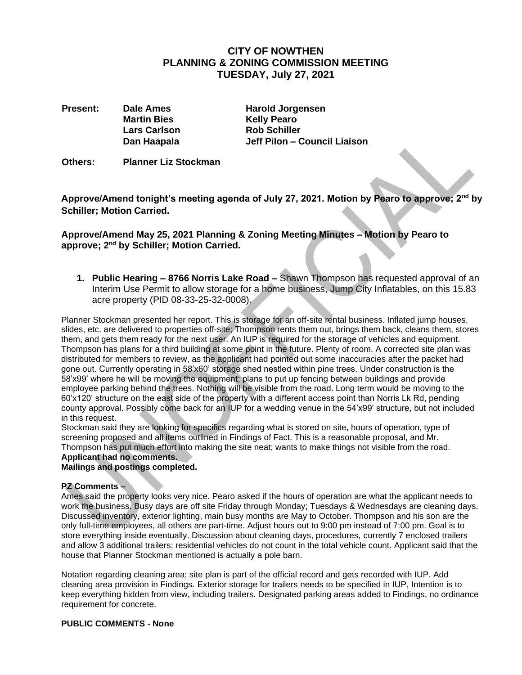## **CITY OF NOWTHEN PLANNING & ZONING COMMISSION MEETING TUESDAY, July 27, 2021**

**Present: Dale Ames Harold Jorgensen Dan Haapala**

**Martin Bies Kelly Pearo Lars Carlson Rob Schiller Jeff Pilon – Council Liaison**

**Others: Planner Liz Stockman**

**Approve/Amend tonight's meeting agenda of July 27, 2021. Motion by Pearo to approve; 2nd by Schiller; Motion Carried.**

**Approve/Amend May 25, 2021 Planning & Zoning Meeting Minutes – Motion by Pearo to approve; 2 nd by Schiller; Motion Carried.**

**1. Public Hearing – 8766 Norris Lake Road –** Shawn Thompson has requested approval of an Interim Use Permit to allow storage for a home business, Jump City Inflatables, on this 15.83 acre property (PID 08-33-25-32-0008).

Planner Stockman presented her report. This is storage for an off-site rental business. Inflated jump houses, slides, etc. are delivered to properties off-site; Thompson rents them out, brings them back, cleans them, stores them, and gets them ready for the next user. An IUP is required for the storage of vehicles and equipment. Thompson has plans for a third building at some point in the future. Plenty of room. A corrected site plan was distributed for members to review, as the applicant had pointed out some inaccuracies after the packet had gone out. Currently operating in 58'x60' storage shed nestled within pine trees. Under construction is the 58'x99' where he will be moving the equipment; plans to put up fencing between buildings and provide employee parking behind the trees. Nothing will be visible from the road. Long term would be moving to the 60'x120' structure on the east side of the property with a different access point than Norris Lk Rd, pending county approval. Possibly come back for an IUP for a wedding venue in the 54'x99' structure, but not included in this request.

Stockman said they are looking for specifics regarding what is stored on site, hours of operation, type of screening proposed and all items outlined in Findings of Fact. This is a reasonable proposal, and Mr. Thompson has put much effort into making the site neat; wants to make things not visible from the road. **Applicant had no comments.**

# **Mailings and postings completed.**

#### **PZ Comments –**

Ames said the property looks very nice. Pearo asked if the hours of operation are what the applicant needs to work the business. Busy days are off site Friday through Monday; Tuesdays & Wednesdays are cleaning days. Discussed inventory, exterior lighting, main busy months are May to October. Thompson and his son are the only full-time employees, all others are part-time. Adjust hours out to 9:00 pm instead of 7:00 pm. Goal is to store everything inside eventually. Discussion about cleaning days, procedures, currently 7 enclosed trailers and allow 3 additional trailers; residential vehicles do not count in the total vehicle count. Applicant said that the house that Planner Stockman mentioned is actually a pole barn.

Notation regarding cleaning area; site plan is part of the official record and gets recorded with IUP. Add cleaning area provision in Findings. Exterior storage for trailers needs to be specified in IUP, Intention is to keep everything hidden from view, including trailers. Designated parking areas added to Findings, no ordinance requirement for concrete.

#### **PUBLIC COMMENTS - None**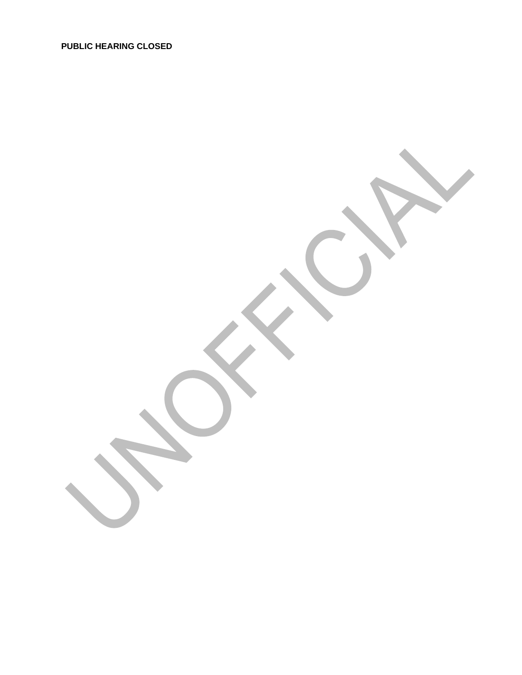**PUBLIC HEARING CLOSED**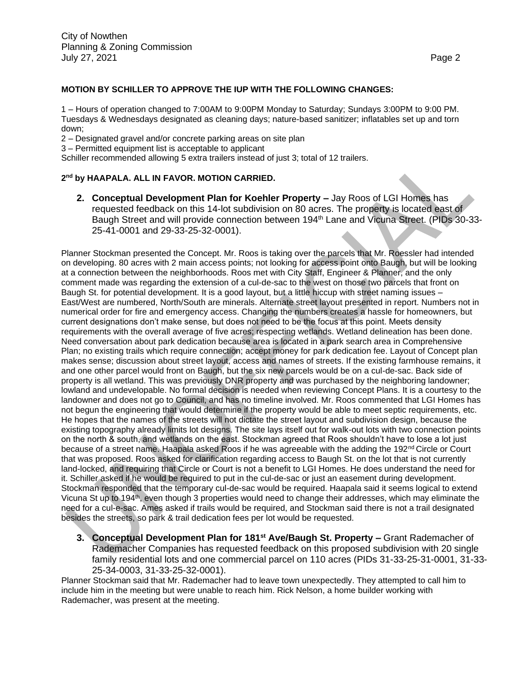#### **MOTION BY SCHILLER TO APPROVE THE IUP WITH THE FOLLOWING CHANGES:**

1 – Hours of operation changed to 7:00AM to 9:00PM Monday to Saturday; Sundays 3:00PM to 9:00 PM. Tuesdays & Wednesdays designated as cleaning days; nature-based sanitizer; inflatables set up and torn down;

- 2 Designated gravel and/or concrete parking areas on site plan
- 3 Permitted equipment list is acceptable to applicant

Schiller recommended allowing 5 extra trailers instead of just 3; total of 12 trailers.

### **2 nd by HAAPALA. ALL IN FAVOR. MOTION CARRIED.**

**2. Conceptual Development Plan for Koehler Property –** Jay Roos of LGI Homes has requested feedback on this 14-lot subdivision on 80 acres. The property is located east of Baugh Street and will provide connection between 194<sup>th</sup> Lane and Vicuna Street. (PIDs 30-33-25-41-0001 and 29-33-25-32-0001).

Planner Stockman presented the Concept. Mr. Roos is taking over the parcels that Mr. Roessler had intended on developing. 80 acres with 2 main access points; not looking for access point onto Baugh, but will be looking at a connection between the neighborhoods. Roos met with City Staff, Engineer & Planner, and the only comment made was regarding the extension of a cul-de-sac to the west on those two parcels that front on Baugh St. for potential development. It is a good layout, but a little hiccup with street naming issues – East/West are numbered, North/South are minerals. Alternate street layout presented in report. Numbers not in numerical order for fire and emergency access. Changing the numbers creates a hassle for homeowners, but current designations don't make sense, but does not need to be the focus at this point. Meets density requirements with the overall average of five acres; respecting wetlands. Wetland delineation has been done. Need conversation about park dedication because area is located in a park search area in Comprehensive Plan; no existing trails which require connection; accept money for park dedication fee. Layout of Concept plan makes sense; discussion about street layout, access and names of streets. If the existing farmhouse remains, it and one other parcel would front on Baugh, but the six new parcels would be on a cul-de-sac. Back side of property is all wetland. This was previously DNR property and was purchased by the neighboring landowner; lowland and undevelopable. No formal decision is needed when reviewing Concept Plans. It is a courtesy to the landowner and does not go to Council, and has no timeline involved. Mr. Roos commented that LGI Homes has not begun the engineering that would determine if the property would be able to meet septic requirements, etc. He hopes that the names of the streets will not dictate the street layout and subdivision design, because the existing topography already limits lot designs. The site lays itself out for walk-out lots with two connection points on the north & south, and wetlands on the east. Stockman agreed that Roos shouldn't have to lose a lot just because of a street name. Haapala asked Roos if he was agreeable with the adding the 192<sup>nd</sup> Circle or Court that was proposed. Roos asked for clarification regarding access to Baugh St. on the lot that is not currently land-locked, and requiring that Circle or Court is not a benefit to LGI Homes. He does understand the need for it. Schiller asked if he would be required to put in the cul-de-sac or just an easement during development. Stockman responded that the temporary cul-de-sac would be required. Haapala said it seems logical to extend Vicuna St up to 194<sup>th</sup>, even though 3 properties would need to change their addresses, which may eliminate the need for a cul-e-sac. Ames asked if trails would be required, and Stockman said there is not a trail designated besides the streets, so park & trail dedication fees per lot would be requested.

**3. Conceptual Development Plan for 181st Ave/Baugh St. Property –** Grant Rademacher of Rademacher Companies has requested feedback on this proposed subdivision with 20 single family residential lots and one commercial parcel on 110 acres (PIDs 31-33-25-31-0001, 31-33- 25-34-0003, 31-33-25-32-0001).

Planner Stockman said that Mr. Rademacher had to leave town unexpectedly. They attempted to call him to include him in the meeting but were unable to reach him. Rick Nelson, a home builder working with Rademacher, was present at the meeting.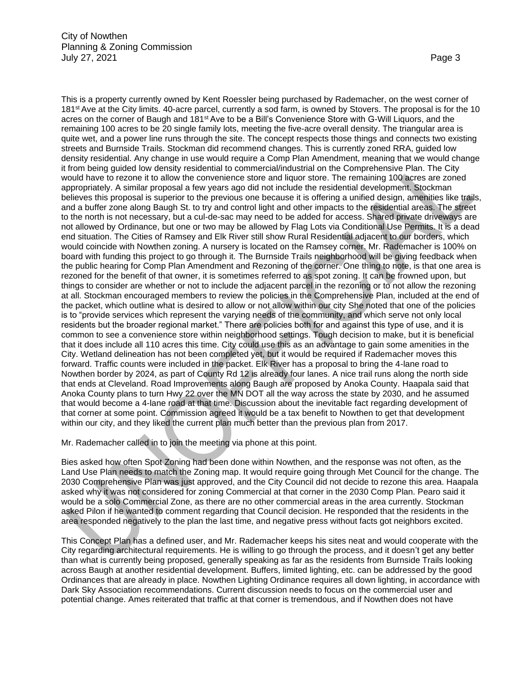This is a property currently owned by Kent Roessler being purchased by Rademacher, on the west corner of 181st Ave at the City limits. 40-acre parcel, currently a sod farm, is owned by Stovers. The proposal is for the 10 acres on the corner of Baugh and 181st Ave to be a Bill's Convenience Store with G-Will Liquors, and the remaining 100 acres to be 20 single family lots, meeting the five-acre overall density. The triangular area is quite wet, and a power line runs through the site. The concept respects those things and connects two existing streets and Burnside Trails. Stockman did recommend changes. This is currently zoned RRA, guided low density residential. Any change in use would require a Comp Plan Amendment, meaning that we would change it from being guided low density residential to commercial/industrial on the Comprehensive Plan. The City would have to rezone it to allow the convenience store and liquor store. The remaining 100 acres are zoned appropriately. A similar proposal a few years ago did not include the residential development. Stockman believes this proposal is superior to the previous one because it is offering a unified design, amenities like trails, and a buffer zone along Baugh St. to try and control light and other impacts to the residential areas. The street to the north is not necessary, but a cul-de-sac may need to be added for access. Shared private driveways are not allowed by Ordinance, but one or two may be allowed by Flag Lots via Conditional Use Permits. It is a dead end situation. The Cities of Ramsey and Elk River still show Rural Residential adjacent to our borders, which would coincide with Nowthen zoning. A nursery is located on the Ramsey corner. Mr. Rademacher is 100% on board with funding this project to go through it. The Burnside Trails neighborhood will be giving feedback when the public hearing for Comp Plan Amendment and Rezoning of the corner. One thing to note, is that one area is rezoned for the benefit of that owner, it is sometimes referred to as spot zoning. It can be frowned upon, but things to consider are whether or not to include the adjacent parcel in the rezoning or to not allow the rezoning at all. Stockman encouraged members to review the policies in the Comprehensive Plan, included at the end of the packet, which outline what is desired to allow or not allow within our city She noted that one of the policies is to "provide services which represent the varying needs of the community, and which serve not only local residents but the broader regional market." There are policies both for and against this type of use, and it is common to see a convenience store within neighborhood settings. Tough decision to make, but it is beneficial that it does include all 110 acres this time. City could use this as an advantage to gain some amenities in the City. Wetland delineation has not been completed yet, but it would be required if Rademacher moves this forward. Traffic counts were included in the packet. Elk River has a proposal to bring the 4-lane road to Nowthen border by 2024, as part of County Rd 12 is already four lanes. A nice trail runs along the north side that ends at Cleveland. Road Improvements along Baugh are proposed by Anoka County. Haapala said that Anoka County plans to turn Hwy 22 over the MN DOT all the way across the state by 2030, and he assumed that would become a 4-lane road at that time. Discussion about the inevitable fact regarding development of that corner at some point. Commission agreed it would be a tax benefit to Nowthen to get that development within our city, and they liked the current plan much better than the previous plan from 2017.

Mr. Rademacher called in to join the meeting via phone at this point.

Bies asked how often Spot Zoning had been done within Nowthen, and the response was not often, as the Land Use Plan needs to match the Zoning map. It would require going through Met Council for the change. The 2030 Comprehensive Plan was just approved, and the City Council did not decide to rezone this area. Haapala asked why it was not considered for zoning Commercial at that corner in the 2030 Comp Plan. Pearo said it would be a solo Commercial Zone, as there are no other commercial areas in the area currently. Stockman asked Pilon if he wanted to comment regarding that Council decision. He responded that the residents in the area responded negatively to the plan the last time, and negative press without facts got neighbors excited.

This Concept Plan has a defined user, and Mr. Rademacher keeps his sites neat and would cooperate with the City regarding architectural requirements. He is willing to go through the process, and it doesn't get any better than what is currently being proposed, generally speaking as far as the residents from Burnside Trails looking across Baugh at another residential development. Buffers, limited lighting, etc. can be addressed by the good Ordinances that are already in place. Nowthen Lighting Ordinance requires all down lighting, in accordance with Dark Sky Association recommendations. Current discussion needs to focus on the commercial user and potential change. Ames reiterated that traffic at that corner is tremendous, and if Nowthen does not have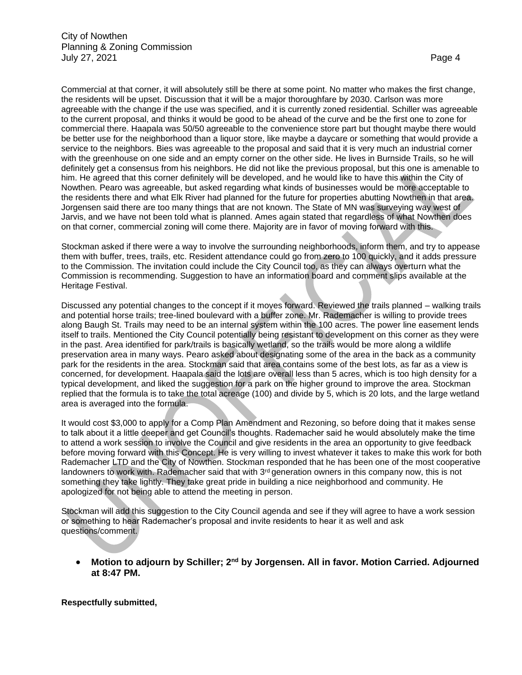Commercial at that corner, it will absolutely still be there at some point. No matter who makes the first change, the residents will be upset. Discussion that it will be a major thoroughfare by 2030. Carlson was more agreeable with the change if the use was specified, and it is currently zoned residential. Schiller was agreeable to the current proposal, and thinks it would be good to be ahead of the curve and be the first one to zone for commercial there. Haapala was 50/50 agreeable to the convenience store part but thought maybe there would be better use for the neighborhood than a liquor store, like maybe a daycare or something that would provide a service to the neighbors. Bies was agreeable to the proposal and said that it is very much an industrial corner with the greenhouse on one side and an empty corner on the other side. He lives in Burnside Trails, so he will definitely get a consensus from his neighbors. He did not like the previous proposal, but this one is amenable to him. He agreed that this corner definitely will be developed, and he would like to have this within the City of Nowthen. Pearo was agreeable, but asked regarding what kinds of businesses would be more acceptable to the residents there and what Elk River had planned for the future for properties abutting Nowthen in that area. Jorgensen said there are too many things that are not known. The State of MN was surveying way west of Jarvis, and we have not been told what is planned. Ames again stated that regardless of what Nowthen does on that corner, commercial zoning will come there. Majority are in favor of moving forward with this.

Stockman asked if there were a way to involve the surrounding neighborhoods, inform them, and try to appease them with buffer, trees, trails, etc. Resident attendance could go from zero to 100 quickly, and it adds pressure to the Commission. The invitation could include the City Council too, as they can always overturn what the Commission is recommending. Suggestion to have an information board and comment slips available at the Heritage Festival.

Discussed any potential changes to the concept if it moves forward. Reviewed the trails planned – walking trails and potential horse trails; tree-lined boulevard with a buffer zone. Mr. Rademacher is willing to provide trees along Baugh St. Trails may need to be an internal system within the 100 acres. The power line easement lends itself to trails. Mentioned the City Council potentially being resistant to development on this corner as they were in the past. Area identified for park/trails is basically wetland, so the trails would be more along a wildlife preservation area in many ways. Pearo asked about designating some of the area in the back as a community park for the residents in the area. Stockman said that area contains some of the best lots, as far as a view is concerned, for development. Haapala said the lots are overall less than 5 acres, which is too high density for a typical development, and liked the suggestion for a park on the higher ground to improve the area. Stockman replied that the formula is to take the total acreage (100) and divide by 5, which is 20 lots, and the large wetland area is averaged into the formula.

It would cost \$3,000 to apply for a Comp Plan Amendment and Rezoning, so before doing that it makes sense to talk about it a little deeper and get Council's thoughts. Rademacher said he would absolutely make the time to attend a work session to involve the Council and give residents in the area an opportunity to give feedback before moving forward with this Concept. He is very willing to invest whatever it takes to make this work for both Rademacher LTD and the City of Nowthen. Stockman responded that he has been one of the most cooperative landowners to work with. Rademacher said that with 3<sup>rd</sup> generation owners in this company now, this is not something they take lightly. They take great pride in building a nice neighborhood and community. He apologized for not being able to attend the meeting in person.

Stockman will add this suggestion to the City Council agenda and see if they will agree to have a work session or something to hear Rademacher's proposal and invite residents to hear it as well and ask questions/comment.

• **Motion to adjourn by Schiller; 2nd by Jorgensen. All in favor. Motion Carried. Adjourned at 8:47 PM.**

**Respectfully submitted,**